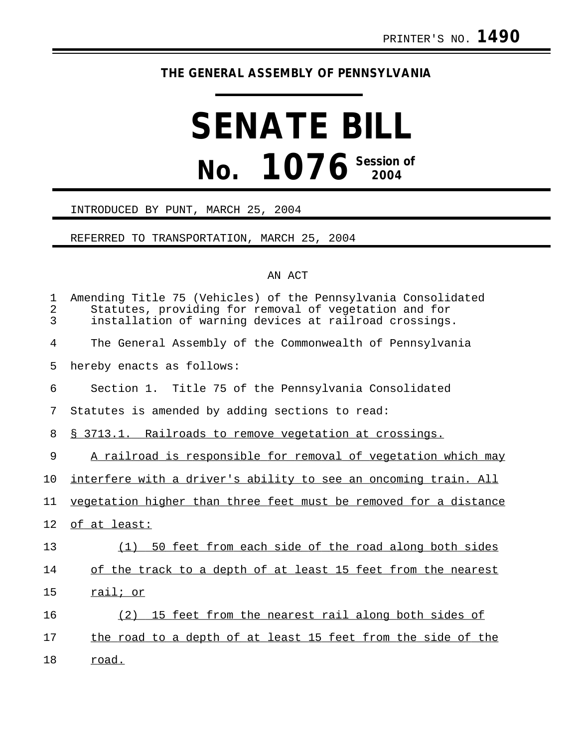## **THE GENERAL ASSEMBLY OF PENNSYLVANIA**

# **SENATE BILL No. 1076 Session of 2004**

#### INTRODUCED BY PUNT, MARCH 25, 2004

#### REFERRED TO TRANSPORTATION, MARCH 25, 2004

### AN ACT

| 1<br>$\overline{a}$<br>3 | Amending Title 75 (Vehicles) of the Pennsylvania Consolidated<br>Statutes, providing for removal of vegetation and for<br>installation of warning devices at railroad crossings. |
|--------------------------|----------------------------------------------------------------------------------------------------------------------------------------------------------------------------------|
| 4                        | The General Assembly of the Commonwealth of Pennsylvania                                                                                                                         |
| 5                        | hereby enacts as follows:                                                                                                                                                        |
| 6                        | Section 1. Title 75 of the Pennsylvania Consolidated                                                                                                                             |
| 7                        | Statutes is amended by adding sections to read:                                                                                                                                  |
| 8                        | § 3713.1. Railroads to remove vegetation at crossings.                                                                                                                           |
| $\mathsf 9$              | A railroad is responsible for removal of vegetation which may                                                                                                                    |
| 10                       | interfere with a driver's ability to see an oncoming train. All                                                                                                                  |
| 11                       | vegetation higher than three feet must be removed for a distance                                                                                                                 |
| 12                       | of at least:                                                                                                                                                                     |
| 13                       | (1) 50 feet from each side of the road along both sides                                                                                                                          |
| 14                       | of the track to a depth of at least 15 feet from the nearest                                                                                                                     |
| 15                       | rail; or                                                                                                                                                                         |
| 16                       | (2) 15 feet from the nearest rail along both sides of                                                                                                                            |
| 17                       | the road to a depth of at least 15 feet from the side of the                                                                                                                     |
| 18                       | <u>road.</u>                                                                                                                                                                     |